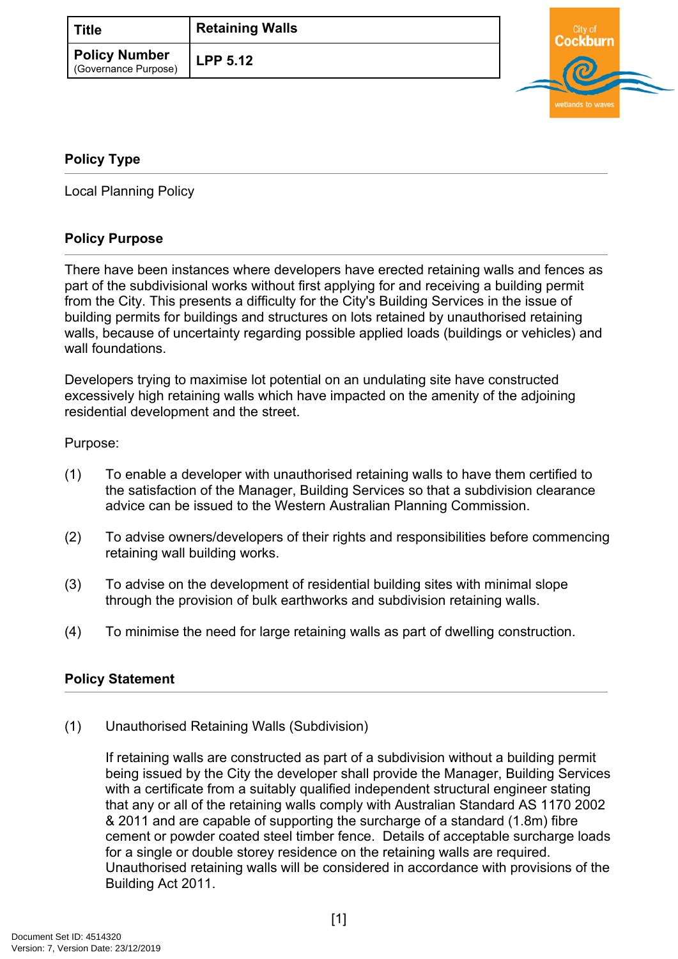| Title                                        | <b>Retaining Walls</b> |
|----------------------------------------------|------------------------|
| <b>Policy Number</b><br>(Governance Purpose) | LPP 5.12               |



## <span id="page-0-0"></span>**[Policy Type](#page-0-0)**

Local Planning Policy

## **Policy Purpose**

There have been instances where developers have erected retaining walls and fences as part of the subdivisional works without first applying for and receiving a building permit from the City. This presents a difficulty for the City's Building Services in the issue of building permits for buildings and structures on lots retained by unauthorised retaining walls, because of uncertainty regarding possible applied loads (buildings or vehicles) and wall foundations.

Developers trying to maximise lot potential on an undulating site have constructed excessively high retaining walls which have impacted on the amenity of the adjoining residential development and the street.

Purpose:

- (1) To enable a developer with unauthorised retaining walls to have them certified to the satisfaction of the Manager, Building Services so that a subdivision clearance advice can be issued to the Western Australian Planning Commission.
- (2) To advise owners/developers of their rights and responsibilities before commencing retaining wall building works.
- (3) To advise on the development of residential building sites with minimal slope through the provision of bulk earthworks and subdivision retaining walls.
- (4) To minimise the need for large retaining walls as part of dwelling construction.

## **[Policy Statement](#page-0-1)**

<span id="page-0-1"></span>(1) Unauthorised Retaining Walls (Subdivision)

If retaining walls are constructed as part of a subdivision without a building permit being issued by the City the developer shall provide the Manager, Building Services with a certificate from a suitably qualified independent structural engineer stating that any or all of the retaining walls comply with Australian Standard AS 1170 2002 & 2011 and are capable of supporting the surcharge of a standard (1.8m) fibre cement or powder coated steel timber fence. Details of acceptable surcharge loads for a single or double storey residence on the retaining walls are required. Unauthorised retaining walls will be considered in accordance with provisions of the Building Act 2011.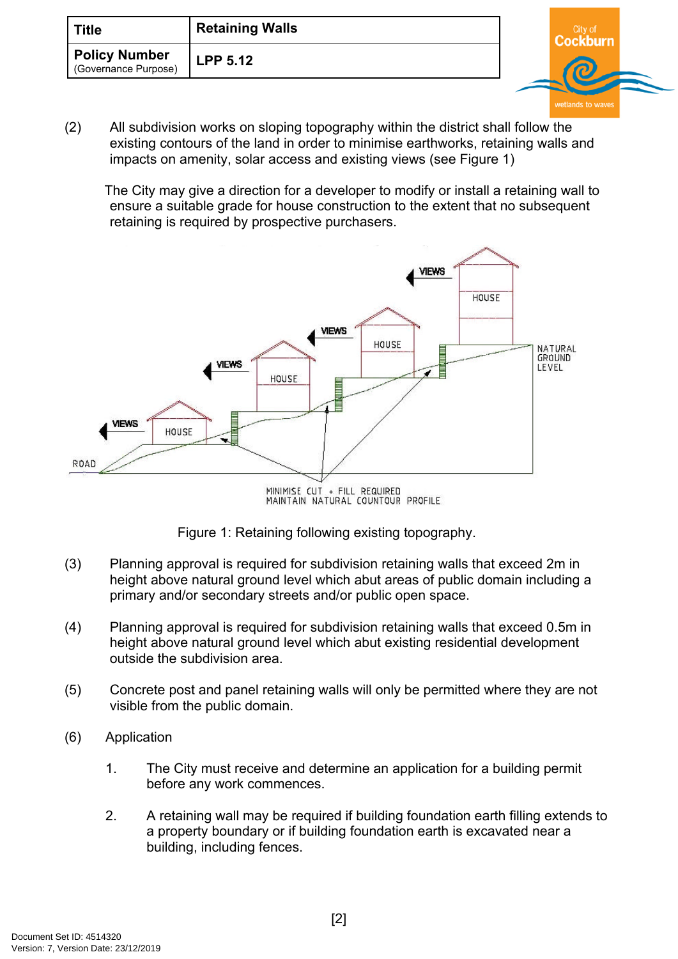| <b>Title</b>                                 | <b>Retaining Walls</b> | `itv ∩ |  |
|----------------------------------------------|------------------------|--------|--|
| <b>Policy Number</b><br>(Governance Purpose) | <b>LPP 5.12</b>        |        |  |

(2) All subdivision works on sloping topography within the district shall follow the existing contours of the land in order to minimise earthworks, retaining walls and impacts on amenity, solar access and existing views (see Figure 1)

The City may give a direction for a developer to modify or install a retaining wall to ensure a suitable grade for house construction to the extent that no subsequent retaining is required by prospective purchasers.



MINIMISE CUT + FILL REQUIRED<br>MAINTAIN NATURAL COUNTOUR PROFILE



- (3) Planning approval is required for subdivision retaining walls that exceed 2m in height above natural ground level which abut areas of public domain including a primary and/or secondary streets and/or public open space.
- (4) Planning approval is required for subdivision retaining walls that exceed 0.5m in height above natural ground level which abut existing residential development outside the subdivision area.
- (5) Concrete post and panel retaining walls will only be permitted where they are not visible from the public domain.
- (6) Application
	- 1. The City must receive and determine an application for a building permit before any work commences.
	- 2. A retaining wall may be required if building foundation earth filling extends to a property boundary or if building foundation earth is excavated near a building, including fences.